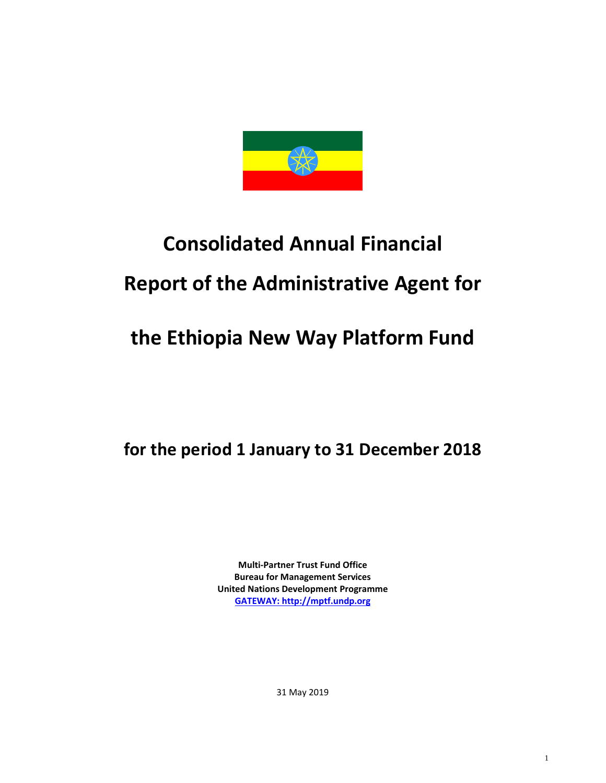

# **Consolidated Annual Financial Report of the Administrative Agent for**

## **the Ethiopia New Way Platform Fund**

**for the period 1 January to 31 December 2018**

**Multi-Partner Trust Fund Office Bureau for Management Services United Nations Development Programme [GATEWAY: http://mptf.undp.org](http://mptf.undp.org/)**

31 May 2019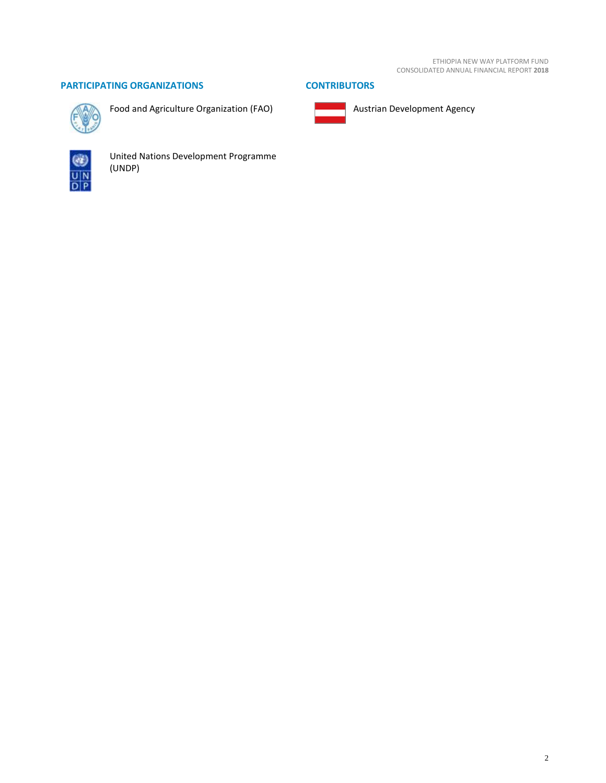#### **PARTICIPATING ORGANIZATIONS CONTRIBUTORS**



Food and Agriculture Organization (FAO)



United Nations Development Programme (UNDP)



Austrian Development Agency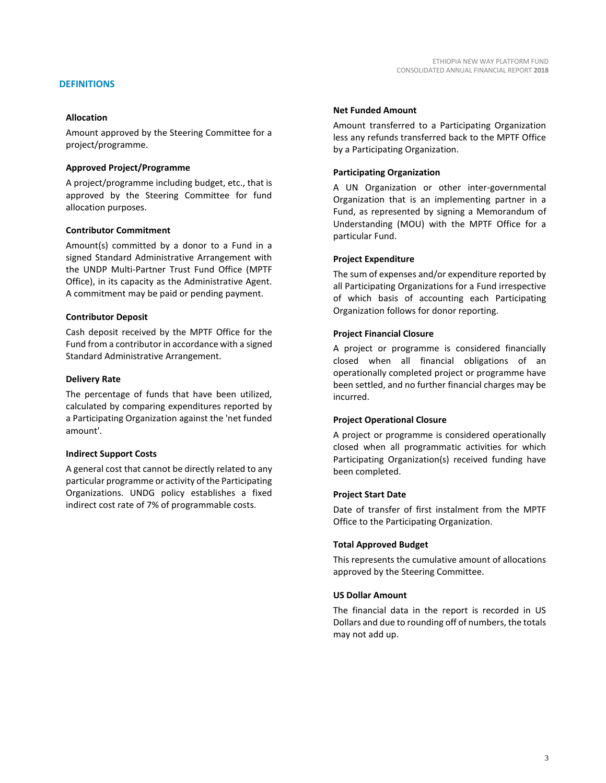#### **DEFINITIONS**

#### **Allocation**

Amount approved by the Steering Committee for a project/programme.

#### **Approved Project/Programme**

A project/programme including budget, etc., that is approved by the Steering Committee for fund allocation purposes.

#### **Contributor Commitment**

Amount(s) committed by a donor to a Fund in a signed Standard Administrative Arrangement with the UNDP Multi-Partner Trust Fund Office (MPTF Office), in its capacity as the Administrative Agent. A commitment may be paid or pending payment.

#### **Contributor Deposit**

Cash deposit received by the MPTF Office for the Fund from a contributor in accordance with a signed Standard Administrative Arrangement.

#### **Delivery Rate**

The percentage of funds that have been utilized, calculated by comparing expenditures reported by a Participating Organization against the 'net funded amount'.

#### **Indirect Support Costs**

A general cost that cannot be directly related to any particular programme or activity of the Participating Organizations. UNDG policy establishes a fixed indirect cost rate of 7% of programmable costs.

#### **Net Funded Amount**

Amount transferred to a Participating Organization less any refunds transferred back to the MPTF Office by a Participating Organization.

#### **Participating Organization**

A UN Organization or other inter-governmental Organization that is an implementing partner in a Fund, as represented by signing a Memorandum of Understanding (MOU) with the MPTF Office for a particular Fund.

#### **Project Expenditure**

The sum of expenses and/or expenditure reported by all Participating Organizations for a Fund irrespective of which basis of accounting each Participating Organization follows for donor reporting.

#### **Project Financial Closure**

A project or programme is considered financially closed when all financial obligations of an operationally completed project or programme have been settled, and no further financial charges may be incurred.

#### **Project Operational Closure**

A project or programme is considered operationally closed when all programmatic activities for which Participating Organization(s) received funding have been completed.

#### **Project Start Date**

Date of transfer of first instalment from the MPTF Office to the Participating Organization.

#### **Total Approved Budget**

This represents the cumulative amount of allocations approved by the Steering Committee.

#### **US Dollar Amount**

The financial data in the report is recorded in US Dollars and due to rounding off of numbers, the totals may not add up.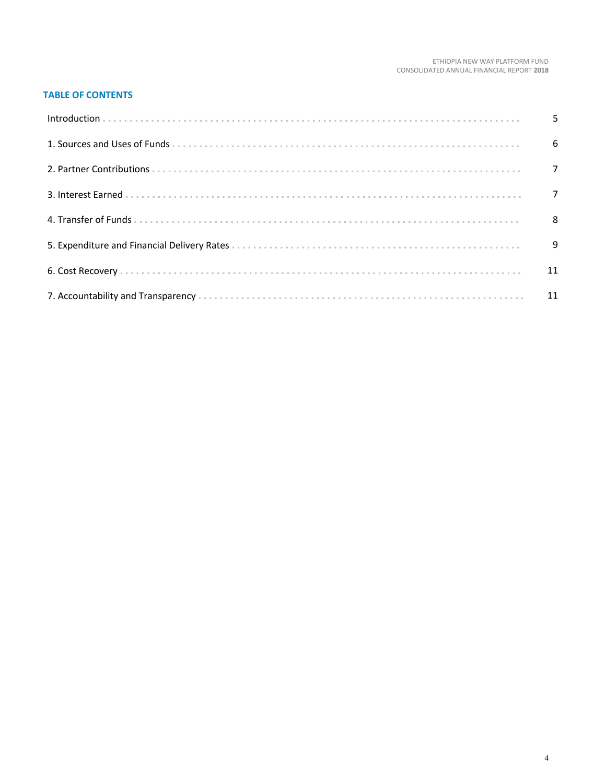#### **TABLE OF CONTENTS**

| $6\overline{6}$ |
|-----------------|
|                 |
|                 |
|                 |
| - 9             |
|                 |
|                 |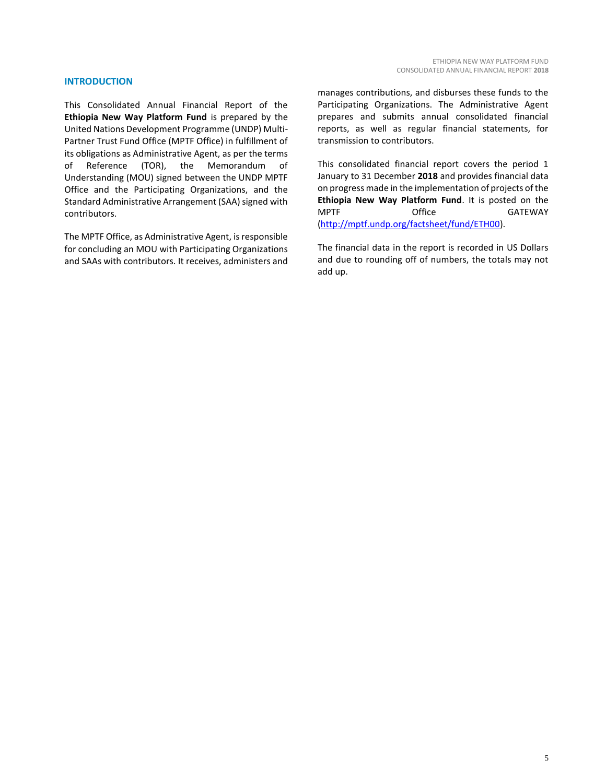#### **INTRODUCTION**

This Consolidated Annual Financial Report of the **Ethiopia New Way Platform Fund** is prepared by the United Nations Development Programme (UNDP) Multi-Partner Trust Fund Office (MPTF Office) in fulfillment of its obligations as Administrative Agent, as per the terms of Reference (TOR), the Memorandum of Understanding (MOU) signed between the UNDP MPTF Office and the Participating Organizations, and the Standard Administrative Arrangement (SAA) signed with contributors.

The MPTF Office, as Administrative Agent, is responsible for concluding an MOU with Participating Organizations and SAAs with contributors. It receives, administers and manages contributions, and disburses these funds to the Participating Organizations. The Administrative Agent prepares and submits annual consolidated financial reports, as well as regular financial statements, for transmission to contributors.

This consolidated financial report covers the period 1 January to 31 December **2018** and provides financial data on progress made in the implementation of projects of the **Ethiopia New Way Platform Fund**. It is posted on the MPTF Office GATEWAY [\(http://mptf.undp.org/factsheet/fund/ETH00\)](http://mptf.undp.org/factsheet/fund/ETH00).

The financial data in the report is recorded in US Dollars and due to rounding off of numbers, the totals may not add up.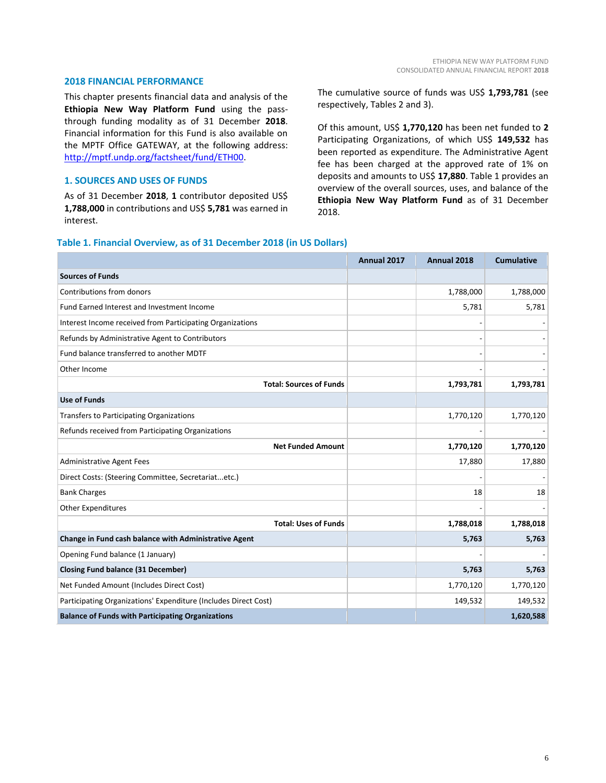#### **2018 FINANCIAL PERFORMANCE**

This chapter presents financial data and analysis of the **Ethiopia New Way Platform Fund** using the passthrough funding modality as of 31 December **2018**. Financial information for this Fund is also available on the MPTF Office GATEWAY, at the following address: [http://mptf.undp.org/factsheet/fund/ETH00.](http://mptf.undp.org/factsheet/fund/ETH00) 

#### **1. SOURCES AND USES OF FUNDS**

As of 31 December **2018**, **1** contributor deposited US\$ **1,788,000** in contributions and US\$ **5,781** was earned in interest.

The cumulative source of funds was US\$ **1,793,781** (see respectively, Tables 2 and 3).

Of this amount, US\$ **1,770,120** has been net funded to **2** Participating Organizations, of which US\$ **149,532** has been reported as expenditure. The Administrative Agent fee has been charged at the approved rate of 1% on deposits and amounts to US\$ **17,880**. Table 1 provides an overview of the overall sources, uses, and balance of the **Ethiopia New Way Platform Fund** as of 31 December 2018.

#### **Table 1. Financial Overview, as of 31 December 2018 (in US Dollars)**

|                                                                 | Annual 2017 | Annual 2018 | <b>Cumulative</b> |
|-----------------------------------------------------------------|-------------|-------------|-------------------|
| <b>Sources of Funds</b>                                         |             |             |                   |
| Contributions from donors                                       |             | 1,788,000   | 1,788,000         |
| Fund Earned Interest and Investment Income                      |             | 5,781       | 5,781             |
| Interest Income received from Participating Organizations       |             |             |                   |
| Refunds by Administrative Agent to Contributors                 |             |             |                   |
| Fund balance transferred to another MDTF                        |             |             |                   |
| Other Income                                                    |             |             |                   |
| <b>Total: Sources of Funds</b>                                  |             | 1,793,781   | 1,793,781         |
| <b>Use of Funds</b>                                             |             |             |                   |
| Transfers to Participating Organizations                        |             | 1,770,120   | 1,770,120         |
| Refunds received from Participating Organizations               |             |             |                   |
| <b>Net Funded Amount</b>                                        |             | 1,770,120   | 1,770,120         |
| <b>Administrative Agent Fees</b>                                |             | 17,880      | 17,880            |
| Direct Costs: (Steering Committee, Secretariatetc.)             |             |             |                   |
| <b>Bank Charges</b>                                             |             | 18          | 18                |
| <b>Other Expenditures</b>                                       |             |             |                   |
| <b>Total: Uses of Funds</b>                                     |             | 1,788,018   | 1,788,018         |
| Change in Fund cash balance with Administrative Agent           |             | 5,763       | 5,763             |
| Opening Fund balance (1 January)                                |             |             |                   |
| <b>Closing Fund balance (31 December)</b>                       |             | 5,763       | 5,763             |
| Net Funded Amount (Includes Direct Cost)                        |             | 1,770,120   | 1,770,120         |
| Participating Organizations' Expenditure (Includes Direct Cost) |             | 149,532     | 149,532           |
| <b>Balance of Funds with Participating Organizations</b>        |             |             | 1,620,588         |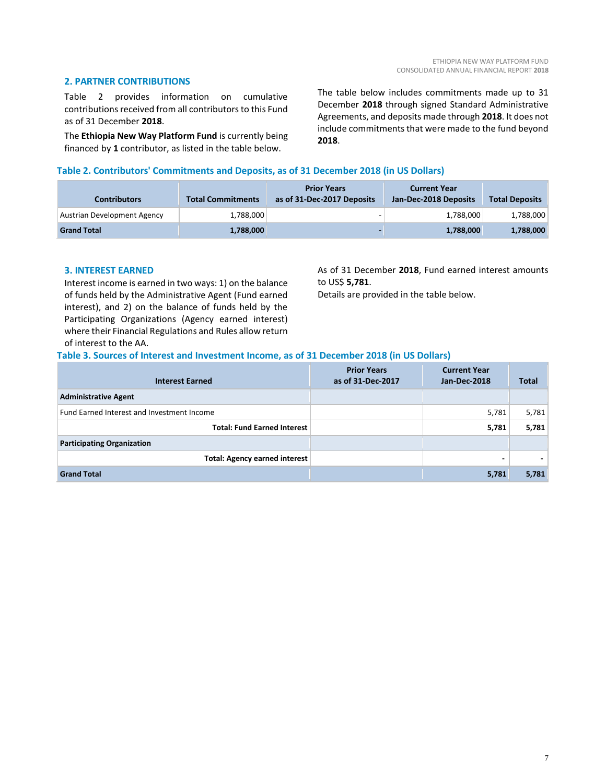#### **2. PARTNER CONTRIBUTIONS**

Table 2 provides information on cumulative contributions received from all contributors to this Fund as of 31 December **2018**.

The **Ethiopia New Way Platform Fund** is currently being financed by **1** contributor, as listed in the table below.

The table below includes commitments made up to 31 December **2018** through signed Standard Administrative Agreements, and deposits made through **2018**. It does not include commitments that were made to the fund beyond **2018**.

#### **Table 2. Contributors' Commitments and Deposits, as of 31 December 2018 (in US Dollars)**

| <b>Contributors</b>         | <b>Total Commitments</b> | <b>Prior Years</b><br>as of 31-Dec-2017 Deposits | <b>Current Year</b><br>Jan-Dec-2018 Deposits | <b>Total Deposits</b> |
|-----------------------------|--------------------------|--------------------------------------------------|----------------------------------------------|-----------------------|
| Austrian Development Agency | 1,788,000                |                                                  | 1,788,000                                    | 1,788,000             |
| <b>Grand Total</b>          | 1,788,000                |                                                  | 1,788,000                                    | 1,788,000             |

#### **3. INTEREST EARNED**

Interest income is earned in two ways: 1) on the balance of funds held by the Administrative Agent (Fund earned interest), and 2) on the balance of funds held by the Participating Organizations (Agency earned interest) where their Financial Regulations and Rules allow return of interest to the AA.

As of 31 December **2018**, Fund earned interest amounts to US\$ **5,781**.

Details are provided in the table below.

#### **Table 3. Sources of Interest and Investment Income, as of 31 December 2018 (in US Dollars)**

| <b>Interest Earned</b>                     | <b>Prior Years</b><br>as of 31-Dec-2017 | <b>Current Year</b><br>Jan-Dec-2018 | <b>Total</b> |
|--------------------------------------------|-----------------------------------------|-------------------------------------|--------------|
| <b>Administrative Agent</b>                |                                         |                                     |              |
| Fund Earned Interest and Investment Income |                                         | 5,781                               | 5,781        |
| <b>Total: Fund Earned Interest</b>         |                                         | 5,781                               | 5,781        |
| <b>Participating Organization</b>          |                                         |                                     |              |
| <b>Total: Agency earned interest</b>       |                                         | ۰                                   |              |
| <b>Grand Total</b>                         |                                         | 5,781                               | 5,781        |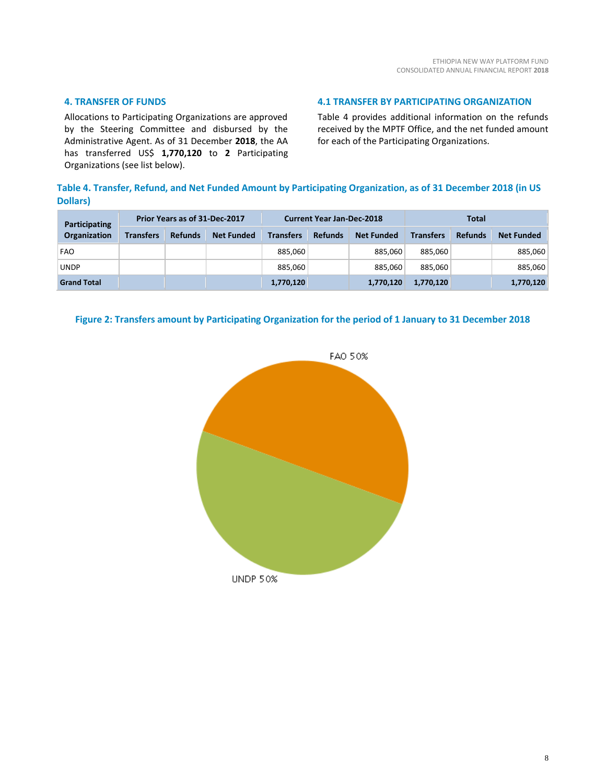#### **4. TRANSFER OF FUNDS**

Allocations to Participating Organizations are approved by the Steering Committee and disbursed by the Administrative Agent. As of 31 December **2018**, the AA has transferred US\$ **1,770,120** to **2** Participating Organizations (see list below).

#### **4.1 TRANSFER BY PARTICIPATING ORGANIZATION**

Table 4 provides additional information on the refunds received by the MPTF Office, and the net funded amount for each of the Participating Organizations.

### **Table 4. Transfer, Refund, and Net Funded Amount by Participating Organization, as of 31 December 2018 (in US Dollars)**

| Prior Years as of 31-Dec-2017<br><b>Participating</b> |                  |                | <b>Current Year Jan-Dec-2018</b> |                  |                |                   |                  |                |                   |
|-------------------------------------------------------|------------------|----------------|----------------------------------|------------------|----------------|-------------------|------------------|----------------|-------------------|
| <b>Organization</b>                                   | <b>Transfers</b> | <b>Refunds</b> | <b>Net Funded</b>                | <b>Transfers</b> | <b>Refunds</b> | <b>Net Funded</b> | <b>Transfers</b> | <b>Refunds</b> | <b>Net Funded</b> |
| <b>FAO</b>                                            |                  |                |                                  | 885,060          |                | 885.060           | 885.060          |                | 885,060           |
| <b>UNDP</b>                                           |                  |                |                                  | 885,060          |                | 885.060           | 885.060          |                | 885,060           |
| <b>Grand Total</b>                                    |                  |                |                                  | 1,770,120        |                | 1,770,120         | 1,770,120        |                | 1,770,120         |

#### **Figure 2: Transfers amount by Participating Organization for the period of 1 January to 31 December 2018**

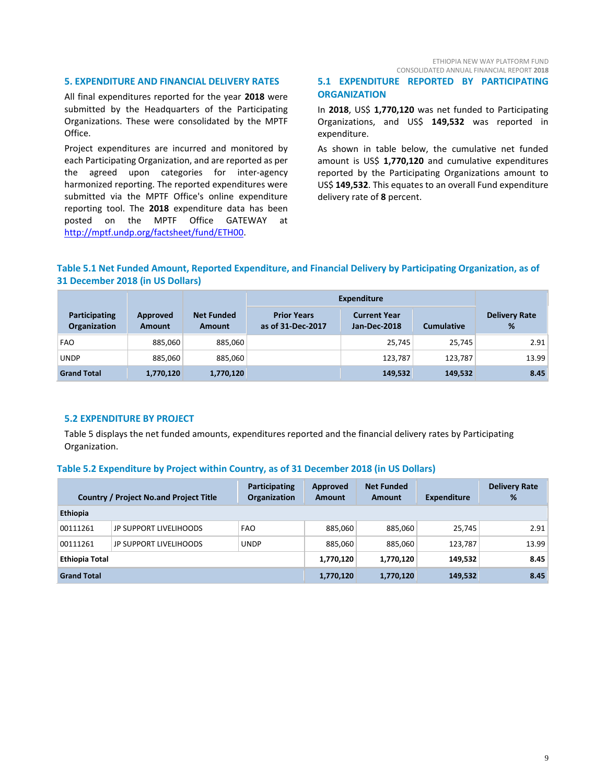ETHIOPIA NEW WAY PLATFORM FUND CONSOLIDATED ANNUAL FINANCIAL REPORT **2018**

#### **5. EXPENDITURE AND FINANCIAL DELIVERY RATES**

All final expenditures reported for the year **2018** were submitted by the Headquarters of the Participating Organizations. These were consolidated by the MPTF Office.

Project expenditures are incurred and monitored by each Participating Organization, and are reported as per the agreed upon categories for inter-agency harmonized reporting. The reported expenditures were submitted via the MPTF Office's online expenditure reporting tool. The **2018** expenditure data has been posted on the MPTF Office GATEWAY at [http://mptf.undp.org/factsheet/fund/ETH00.](http://mptf.undp.org/factsheet/fund/ETH00) 

#### **5.1 EXPENDITURE REPORTED BY PARTICIPATING ORGANIZATION**

In **2018**, US\$ **1,770,120** was net funded to Participating Organizations, and US\$ **149,532** was reported in expenditure.

As shown in table below, the cumulative net funded amount is US\$ **1,770,120** and cumulative expenditures reported by the Participating Organizations amount to US\$ **149,532**. This equates to an overall Fund expenditure delivery rate of **8** percent.

#### **Table 5.1 Net Funded Amount, Reported Expenditure, and Financial Delivery by Participating Organization, as of 31 December 2018 (in US Dollars)**

|                               |                           |                             | <b>Expenditure</b>                      |                                     |                   |                           |
|-------------------------------|---------------------------|-----------------------------|-----------------------------------------|-------------------------------------|-------------------|---------------------------|
| Participating<br>Organization | Approved<br><b>Amount</b> | <b>Net Funded</b><br>Amount | <b>Prior Years</b><br>as of 31-Dec-2017 | <b>Current Year</b><br>Jan-Dec-2018 | <b>Cumulative</b> | <b>Delivery Rate</b><br>% |
| <b>FAO</b>                    | 885,060                   | 885,060                     |                                         | 25,745                              | 25,745            | 2.91                      |
| <b>UNDP</b>                   | 885,060                   | 885,060                     |                                         | 123,787                             | 123.787           | 13.99                     |
| <b>Grand Total</b>            | 1,770,120                 | 1,770,120                   |                                         | 149,532                             | 149,532           | 8.45                      |

#### **5.2 EXPENDITURE BY PROJECT**

Table 5 displays the net funded amounts, expenditures reported and the financial delivery rates by Participating Organization.

#### **Table 5.2 Expenditure by Project within Country, as of 31 December 2018 (in US Dollars)**

|                       | <b>Country / Project No.and Project Title</b> | Participating<br><b>Organization</b> | Approved<br><b>Amount</b> | <b>Net Funded</b><br>Amount | <b>Expenditure</b> | <b>Delivery Rate</b><br>% |
|-----------------------|-----------------------------------------------|--------------------------------------|---------------------------|-----------------------------|--------------------|---------------------------|
| Ethiopia              |                                               |                                      |                           |                             |                    |                           |
| 00111261              | JP SUPPORT LIVELIHOODS                        | <b>FAO</b>                           | 885,060                   | 885,060                     | 25,745             | 2.91                      |
| 00111261              | JP SUPPORT LIVELIHOODS                        | <b>UNDP</b>                          | 885.060                   | 885,060                     | 123,787            | 13.99                     |
| <b>Ethiopia Total</b> |                                               |                                      | 1,770,120                 | 1,770,120                   | 149,532            | 8.45                      |
| <b>Grand Total</b>    |                                               |                                      | 1,770,120                 | 1,770,120                   | 149,532            | 8.45                      |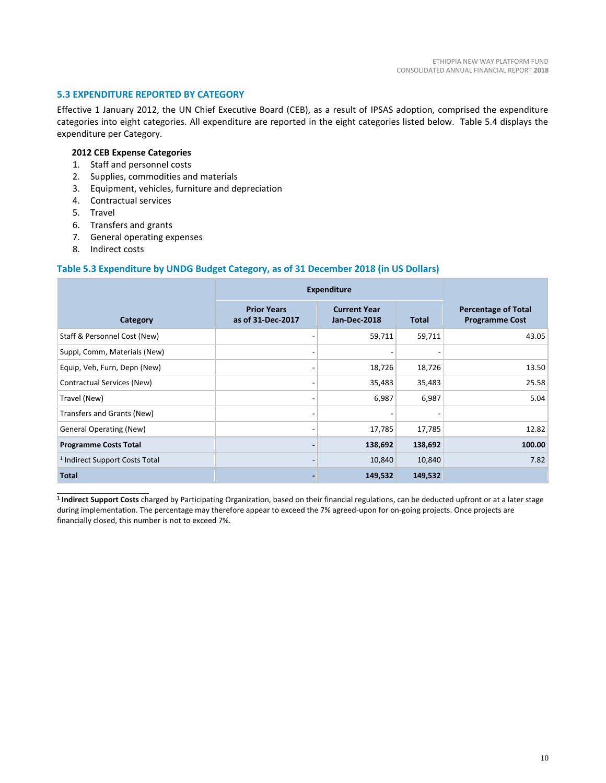#### **5.3 EXPENDITURE REPORTED BY CATEGORY**

Effective 1 January 2012, the UN Chief Executive Board (CEB), as a result of IPSAS adoption, comprised the expenditure categories into eight categories. All expenditure are reported in the eight categories listed below. Table 5.4 displays the expenditure per Category.

#### **2012 CEB Expense Categories**

- 1. Staff and personnel costs
- 2. Supplies, commodities and materials
- 3. Equipment, vehicles, furniture and depreciation
- 4. Contractual services
- 5. Travel
- 6. Transfers and grants
- 7. General operating expenses
- 8. Indirect costs

 $\overline{\phantom{a}}$  , and the set of the set of the set of the set of the set of the set of the set of the set of the set of the set of the set of the set of the set of the set of the set of the set of the set of the set of the s

#### **Table 5.3 Expenditure by UNDG Budget Category, as of 31 December 2018 (in US Dollars)**

|                                           | <b>Expenditure</b>                      |                                     |         |                                                     |
|-------------------------------------------|-----------------------------------------|-------------------------------------|---------|-----------------------------------------------------|
| Category                                  | <b>Prior Years</b><br>as of 31-Dec-2017 | <b>Current Year</b><br>Jan-Dec-2018 | Total   | <b>Percentage of Total</b><br><b>Programme Cost</b> |
| Staff & Personnel Cost (New)              |                                         | 59,711                              | 59,711  | 43.05                                               |
| Suppl, Comm, Materials (New)              |                                         |                                     |         |                                                     |
| Equip, Veh, Furn, Depn (New)              |                                         | 18,726                              | 18,726  | 13.50                                               |
| Contractual Services (New)                |                                         | 35,483                              | 35,483  | 25.58                                               |
| Travel (New)                              |                                         | 6,987                               | 6,987   | 5.04                                                |
| Transfers and Grants (New)                |                                         |                                     |         |                                                     |
| <b>General Operating (New)</b>            | $\overline{\phantom{a}}$                | 17,785                              | 17,785  | 12.82                                               |
| <b>Programme Costs Total</b>              |                                         | 138,692                             | 138,692 | 100.00                                              |
| <sup>1</sup> Indirect Support Costs Total |                                         | 10,840                              | 10,840  | 7.82                                                |
| <b>Total</b>                              |                                         | 149,532                             | 149,532 |                                                     |

**1 Indirect Support Costs** charged by Participating Organization, based on their financial regulations, can be deducted upfront or at a later stage during implementation. The percentage may therefore appear to exceed the 7% agreed-upon for on-going projects. Once projects are financially closed, this number is not to exceed 7%.